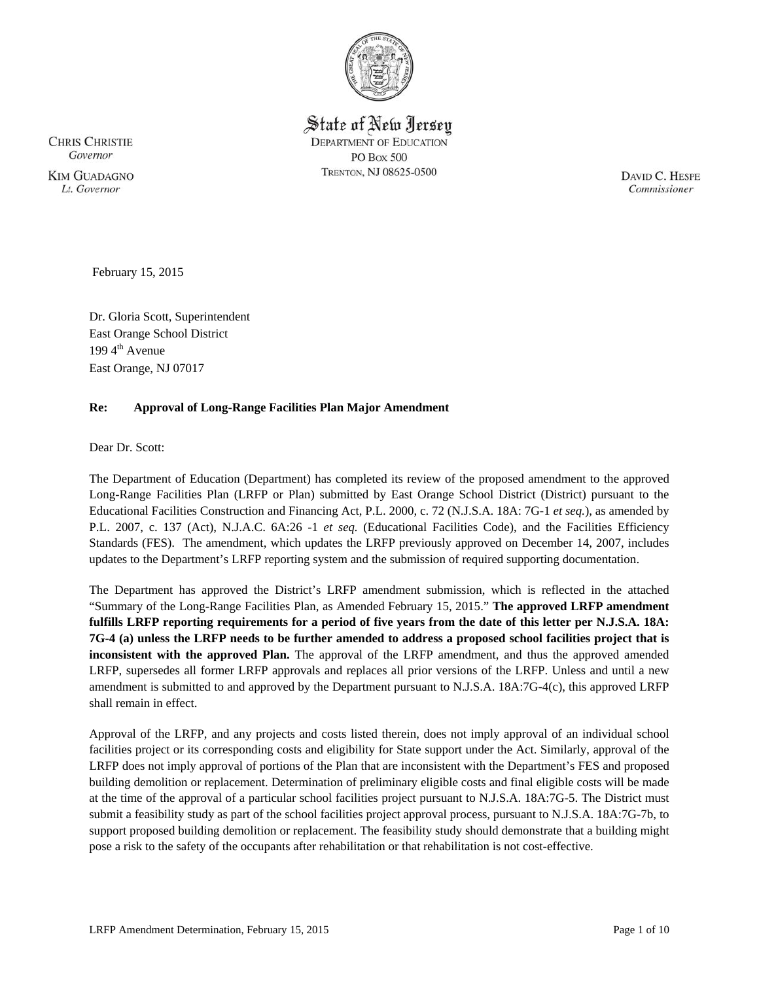

State of New Jersey **DEPARTMENT OF EDUCATION PO Box 500** TRENTON, NJ 08625-0500

**CHRIS CHRISTIE** Governor **KIM GUADAGNO** Lt. Governor

DAVID C. HESPE Commissioner

February 15, 2015

Dr. Gloria Scott, Superintendent East Orange School District 199 $4^{\text{th}}$  Avenue East Orange, NJ 07017

## **Re: Approval of Long-Range Facilities Plan Major Amendment**

Dear Dr. Scott:

The Department of Education (Department) has completed its review of the proposed amendment to the approved Long-Range Facilities Plan (LRFP or Plan) submitted by East Orange School District (District) pursuant to the Educational Facilities Construction and Financing Act, P.L. 2000, c. 72 (N.J.S.A. 18A: 7G-1 *et seq.*), as amended by P.L. 2007, c. 137 (Act), N.J.A.C. 6A:26 -1 *et seq.* (Educational Facilities Code), and the Facilities Efficiency Standards (FES). The amendment, which updates the LRFP previously approved on December 14, 2007, includes updates to the Department's LRFP reporting system and the submission of required supporting documentation.

The Department has approved the District's LRFP amendment submission, which is reflected in the attached "Summary of the Long-Range Facilities Plan, as Amended February 15, 2015." **The approved LRFP amendment fulfills LRFP reporting requirements for a period of five years from the date of this letter per N.J.S.A. 18A: 7G-4 (a) unless the LRFP needs to be further amended to address a proposed school facilities project that is inconsistent with the approved Plan.** The approval of the LRFP amendment, and thus the approved amended LRFP, supersedes all former LRFP approvals and replaces all prior versions of the LRFP. Unless and until a new amendment is submitted to and approved by the Department pursuant to N.J.S.A. 18A:7G-4(c), this approved LRFP shall remain in effect.

Approval of the LRFP, and any projects and costs listed therein, does not imply approval of an individual school facilities project or its corresponding costs and eligibility for State support under the Act. Similarly, approval of the LRFP does not imply approval of portions of the Plan that are inconsistent with the Department's FES and proposed building demolition or replacement. Determination of preliminary eligible costs and final eligible costs will be made at the time of the approval of a particular school facilities project pursuant to N.J.S.A. 18A:7G-5. The District must submit a feasibility study as part of the school facilities project approval process, pursuant to N.J.S.A. 18A:7G-7b, to support proposed building demolition or replacement. The feasibility study should demonstrate that a building might pose a risk to the safety of the occupants after rehabilitation or that rehabilitation is not cost-effective.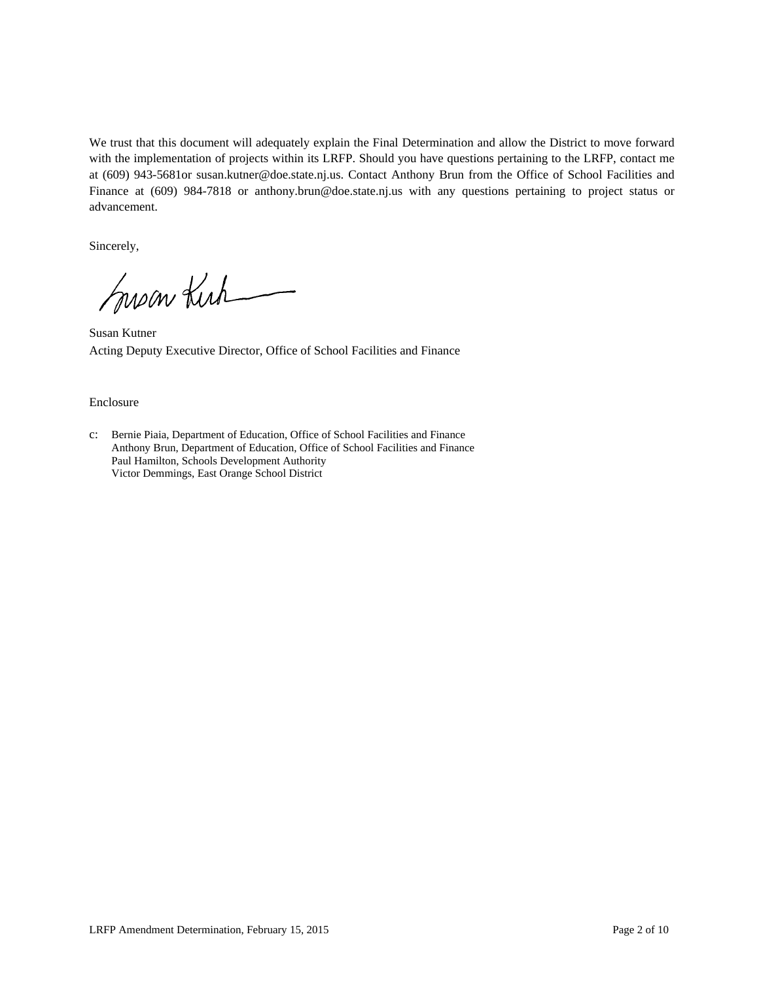We trust that this document will adequately explain the Final Determination and allow the District to move forward with the implementation of projects within its LRFP. Should you have questions pertaining to the LRFP, contact me at (609) 943-5681or susan.kutner@doe.state.nj.us. Contact Anthony Brun from the Office of School Facilities and Finance at (609) 984-7818 or anthony.brun@doe.state.nj.us with any questions pertaining to project status or advancement.

Sincerely,

Susan Kirk

Susan Kutner Acting Deputy Executive Director, Office of School Facilities and Finance

#### Enclosure

c: Bernie Piaia, Department of Education, Office of School Facilities and Finance Anthony Brun, Department of Education, Office of School Facilities and Finance Paul Hamilton, Schools Development Authority Victor Demmings, East Orange School District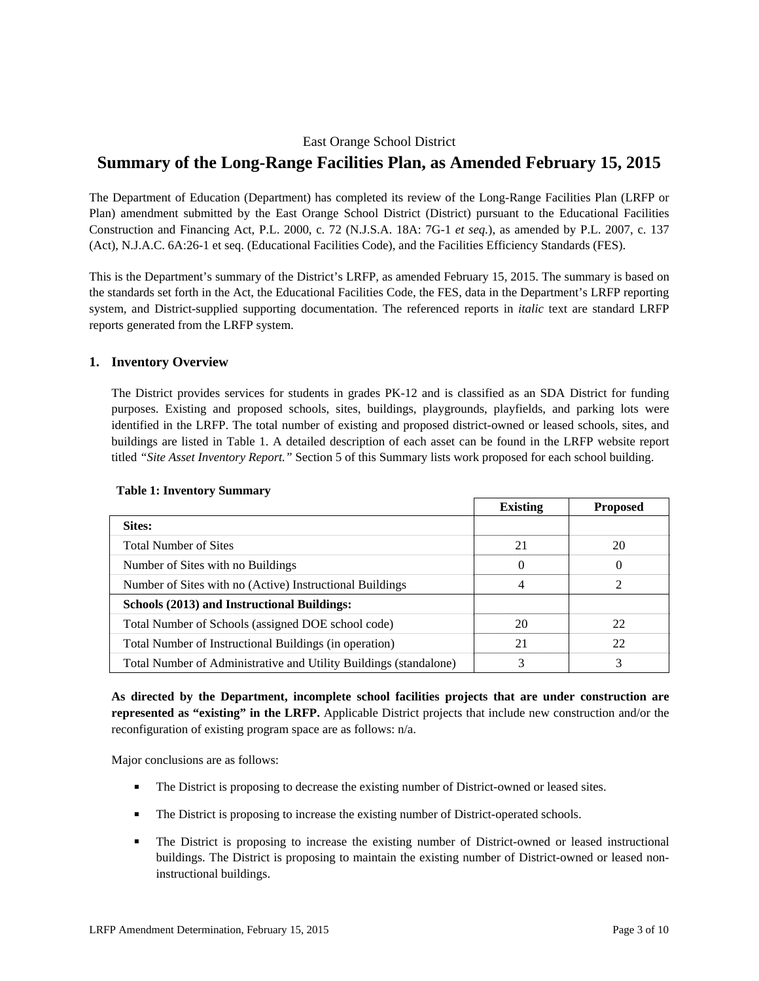## East Orange School District

# **Summary of the Long-Range Facilities Plan, as Amended February 15, 2015**

The Department of Education (Department) has completed its review of the Long-Range Facilities Plan (LRFP or Plan) amendment submitted by the East Orange School District (District) pursuant to the Educational Facilities Construction and Financing Act, P.L. 2000, c. 72 (N.J.S.A. 18A: 7G-1 *et seq.*), as amended by P.L. 2007, c. 137 (Act), N.J.A.C. 6A:26-1 et seq. (Educational Facilities Code), and the Facilities Efficiency Standards (FES).

This is the Department's summary of the District's LRFP, as amended February 15, 2015. The summary is based on the standards set forth in the Act, the Educational Facilities Code, the FES, data in the Department's LRFP reporting system, and District-supplied supporting documentation. The referenced reports in *italic* text are standard LRFP reports generated from the LRFP system.

## **1. Inventory Overview**

The District provides services for students in grades PK-12 and is classified as an SDA District for funding purposes. Existing and proposed schools, sites, buildings, playgrounds, playfields, and parking lots were identified in the LRFP. The total number of existing and proposed district-owned or leased schools, sites, and buildings are listed in Table 1. A detailed description of each asset can be found in the LRFP website report titled *"Site Asset Inventory Report."* Section 5 of this Summary lists work proposed for each school building.

|                                                                   | <b>Existing</b> | <b>Proposed</b> |
|-------------------------------------------------------------------|-----------------|-----------------|
| Sites:                                                            |                 |                 |
| <b>Total Number of Sites</b>                                      | 21              | 20              |
| Number of Sites with no Buildings                                 | $\theta$        | $\Omega$        |
| Number of Sites with no (Active) Instructional Buildings          | 4               | 2               |
| Schools (2013) and Instructional Buildings:                       |                 |                 |
| Total Number of Schools (assigned DOE school code)                | 20              | 22              |
| Total Number of Instructional Buildings (in operation)            | 21              | 22              |
| Total Number of Administrative and Utility Buildings (standalone) |                 |                 |

#### **Table 1: Inventory Summary**

**As directed by the Department, incomplete school facilities projects that are under construction are represented as "existing" in the LRFP.** Applicable District projects that include new construction and/or the reconfiguration of existing program space are as follows: n/a.

Major conclusions are as follows:

- The District is proposing to decrease the existing number of District-owned or leased sites.
- The District is proposing to increase the existing number of District-operated schools.
- The District is proposing to increase the existing number of District-owned or leased instructional buildings. The District is proposing to maintain the existing number of District-owned or leased noninstructional buildings.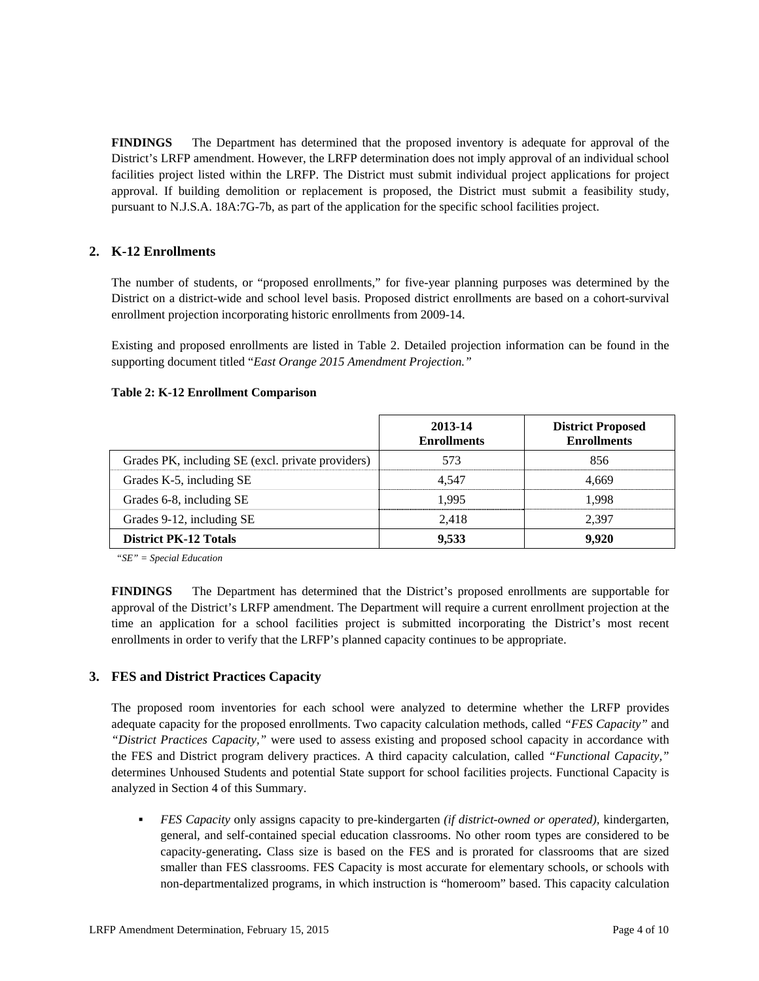**FINDINGS** The Department has determined that the proposed inventory is adequate for approval of the District's LRFP amendment. However, the LRFP determination does not imply approval of an individual school facilities project listed within the LRFP. The District must submit individual project applications for project approval. If building demolition or replacement is proposed, the District must submit a feasibility study, pursuant to N.J.S.A. 18A:7G-7b, as part of the application for the specific school facilities project.

# **2. K-12 Enrollments**

The number of students, or "proposed enrollments," for five-year planning purposes was determined by the District on a district-wide and school level basis. Proposed district enrollments are based on a cohort-survival enrollment projection incorporating historic enrollments from 2009-14.

Existing and proposed enrollments are listed in Table 2. Detailed projection information can be found in the supporting document titled "*East Orange 2015 Amendment Projection."*

#### **Table 2: K-12 Enrollment Comparison**

|                                                   | 2013-14<br><b>Enrollments</b> | <b>District Proposed</b><br><b>Enrollments</b> |
|---------------------------------------------------|-------------------------------|------------------------------------------------|
| Grades PK, including SE (excl. private providers) | 573                           | 856                                            |
| Grades K-5, including SE                          | 4.547                         | 4.669                                          |
| Grades 6-8, including SE                          | 1.995                         | 1.998                                          |
| Grades 9-12, including SE                         | 2.418                         | 2.397                                          |
| <b>District PK-12 Totals</b>                      | 9,533                         | 9,920                                          |

*"SE" = Special Education* 

**FINDINGS** The Department has determined that the District's proposed enrollments are supportable for approval of the District's LRFP amendment. The Department will require a current enrollment projection at the time an application for a school facilities project is submitted incorporating the District's most recent enrollments in order to verify that the LRFP's planned capacity continues to be appropriate.

## **3. FES and District Practices Capacity**

The proposed room inventories for each school were analyzed to determine whether the LRFP provides adequate capacity for the proposed enrollments. Two capacity calculation methods, called *"FES Capacity"* and *"District Practices Capacity,"* were used to assess existing and proposed school capacity in accordance with the FES and District program delivery practices. A third capacity calculation, called *"Functional Capacity,"* determines Unhoused Students and potential State support for school facilities projects. Functional Capacity is analyzed in Section 4 of this Summary.

 *FES Capacity* only assigns capacity to pre-kindergarten *(if district-owned or operated),* kindergarten, general, and self-contained special education classrooms. No other room types are considered to be capacity-generating**.** Class size is based on the FES and is prorated for classrooms that are sized smaller than FES classrooms. FES Capacity is most accurate for elementary schools, or schools with non-departmentalized programs, in which instruction is "homeroom" based. This capacity calculation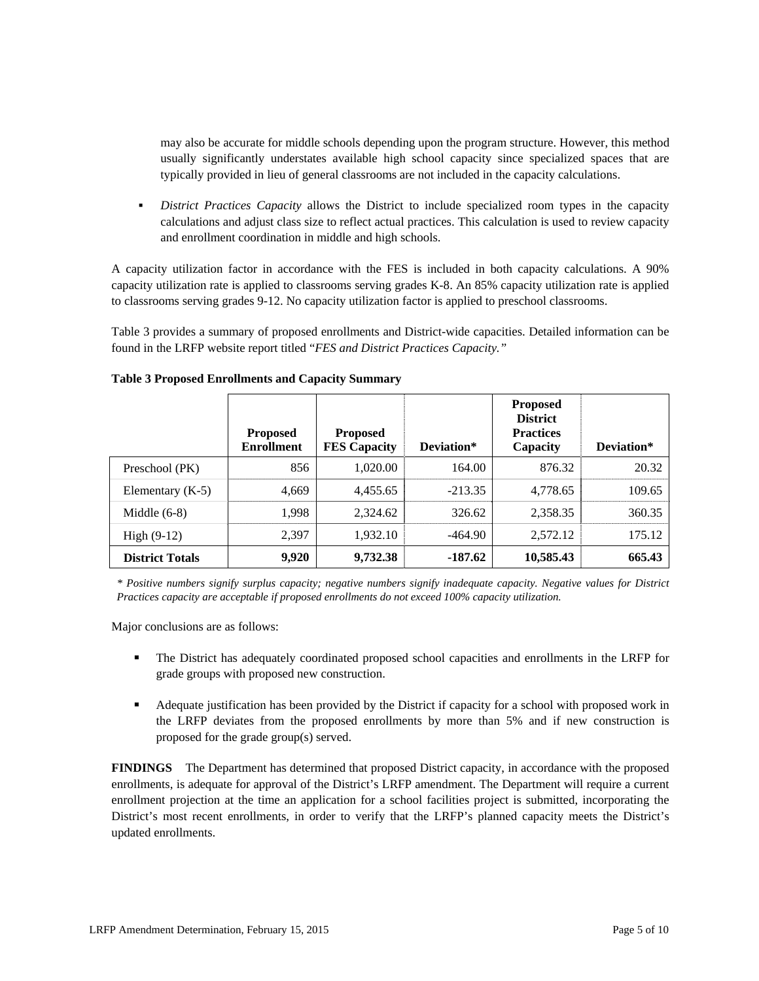may also be accurate for middle schools depending upon the program structure. However, this method usually significantly understates available high school capacity since specialized spaces that are typically provided in lieu of general classrooms are not included in the capacity calculations.

 *District Practices Capacity* allows the District to include specialized room types in the capacity calculations and adjust class size to reflect actual practices. This calculation is used to review capacity and enrollment coordination in middle and high schools.

A capacity utilization factor in accordance with the FES is included in both capacity calculations. A 90% capacity utilization rate is applied to classrooms serving grades K-8. An 85% capacity utilization rate is applied to classrooms serving grades 9-12. No capacity utilization factor is applied to preschool classrooms.

Table 3 provides a summary of proposed enrollments and District-wide capacities. Detailed information can be found in the LRFP website report titled "*FES and District Practices Capacity."*

|                        | <b>Proposed</b><br><b>Enrollment</b> | <b>Proposed</b><br><b>FES Capacity</b> | Deviation* | <b>Proposed</b><br><b>District</b><br><b>Practices</b><br>Capacity | Deviation* |
|------------------------|--------------------------------------|----------------------------------------|------------|--------------------------------------------------------------------|------------|
| Preschool (PK)         | 856                                  | 1,020.00                               | 164.00     | 876.32                                                             | 20.32      |
| Elementary $(K-5)$     | 4,669                                | 4.455.65                               | $-213.35$  | 4.778.65                                                           | 109.65     |
| Middle $(6-8)$         | 1,998                                | 2,324.62                               | 326.62     | 2,358.35                                                           | 360.35     |
| High $(9-12)$          | 2.397                                | 1,932.10                               | -464.90    | 2,572.12                                                           | 175.12     |
| <b>District Totals</b> | 9,920                                | 9,732.38                               | -187.62    | 10,585.43                                                          | 665.43     |

#### **Table 3 Proposed Enrollments and Capacity Summary**

*\* Positive numbers signify surplus capacity; negative numbers signify inadequate capacity. Negative values for District Practices capacity are acceptable if proposed enrollments do not exceed 100% capacity utilization.* 

Major conclusions are as follows:

- The District has adequately coordinated proposed school capacities and enrollments in the LRFP for grade groups with proposed new construction.
- Adequate justification has been provided by the District if capacity for a school with proposed work in the LRFP deviates from the proposed enrollments by more than 5% and if new construction is proposed for the grade group(s) served.

**FINDINGS** The Department has determined that proposed District capacity, in accordance with the proposed enrollments, is adequate for approval of the District's LRFP amendment. The Department will require a current enrollment projection at the time an application for a school facilities project is submitted, incorporating the District's most recent enrollments, in order to verify that the LRFP's planned capacity meets the District's updated enrollments.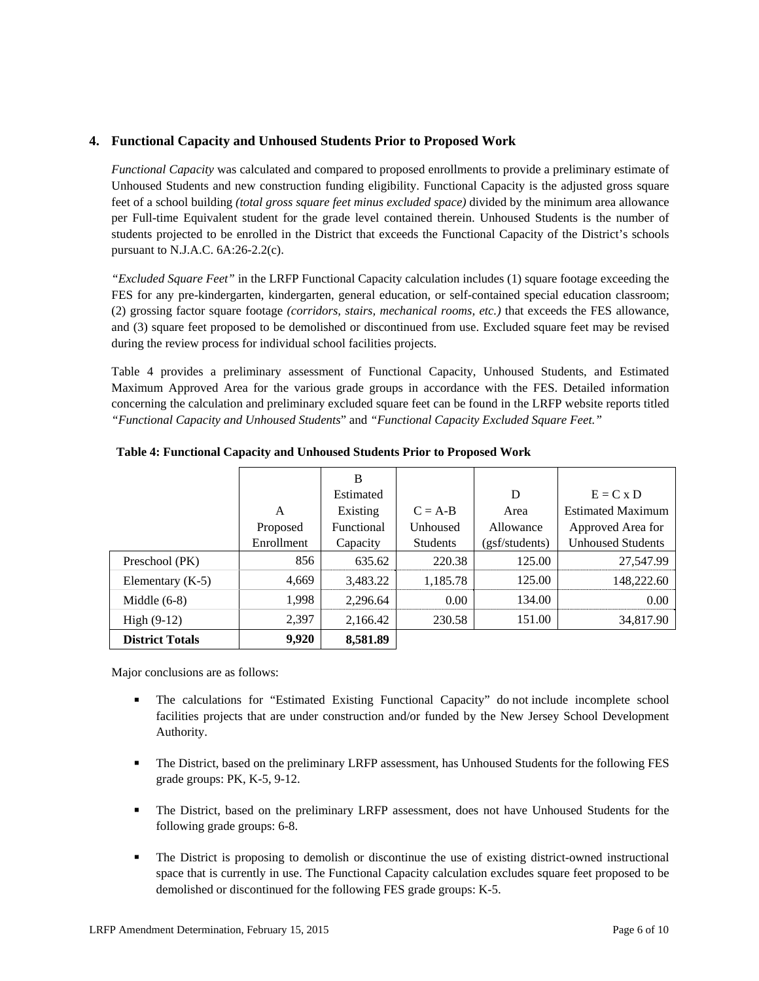## **4. Functional Capacity and Unhoused Students Prior to Proposed Work**

*Functional Capacity* was calculated and compared to proposed enrollments to provide a preliminary estimate of Unhoused Students and new construction funding eligibility. Functional Capacity is the adjusted gross square feet of a school building *(total gross square feet minus excluded space)* divided by the minimum area allowance per Full-time Equivalent student for the grade level contained therein. Unhoused Students is the number of students projected to be enrolled in the District that exceeds the Functional Capacity of the District's schools pursuant to N.J.A.C. 6A:26-2.2(c).

*"Excluded Square Feet"* in the LRFP Functional Capacity calculation includes (1) square footage exceeding the FES for any pre-kindergarten, kindergarten, general education, or self-contained special education classroom; (2) grossing factor square footage *(corridors, stairs, mechanical rooms, etc.)* that exceeds the FES allowance, and (3) square feet proposed to be demolished or discontinued from use. Excluded square feet may be revised during the review process for individual school facilities projects.

Table 4 provides a preliminary assessment of Functional Capacity, Unhoused Students, and Estimated Maximum Approved Area for the various grade groups in accordance with the FES. Detailed information concerning the calculation and preliminary excluded square feet can be found in the LRFP website reports titled *"Functional Capacity and Unhoused Students*" and *"Functional Capacity Excluded Square Feet."*

|                        |            | B          |                 |                |                          |
|------------------------|------------|------------|-----------------|----------------|--------------------------|
|                        |            | Estimated  |                 | D              | $E = C x D$              |
|                        | A          | Existing   | $C = A-B$       | Area           | <b>Estimated Maximum</b> |
|                        | Proposed   | Functional | Unhoused        | Allowance      | Approved Area for        |
|                        | Enrollment | Capacity   | <b>Students</b> | (gsf/students) | <b>Unhoused Students</b> |
| Preschool (PK)         | 856        | 635.62     | 220.38          | 125.00         | 27,547.99                |
| Elementary $(K-5)$     | 4,669      | 3,483.22   | 1,185.78        | 125.00         | 148,222.60               |
| Middle $(6-8)$         | 1,998      | 2,296.64   | 0.00            | 134.00         | 0.00                     |
| High $(9-12)$          | 2,397      | 2,166.42   | 230.58          | 151.00         | 34,817.90                |
| <b>District Totals</b> | 9.920      | 8,581.89   |                 |                |                          |

**Table 4: Functional Capacity and Unhoused Students Prior to Proposed Work** 

Major conclusions are as follows:

- The calculations for "Estimated Existing Functional Capacity" do not include incomplete school facilities projects that are under construction and/or funded by the New Jersey School Development Authority.
- The District, based on the preliminary LRFP assessment, has Unhoused Students for the following FES grade groups: PK, K-5, 9-12.
- The District, based on the preliminary LRFP assessment, does not have Unhoused Students for the following grade groups: 6-8.
- The District is proposing to demolish or discontinue the use of existing district-owned instructional space that is currently in use. The Functional Capacity calculation excludes square feet proposed to be demolished or discontinued for the following FES grade groups: K-5.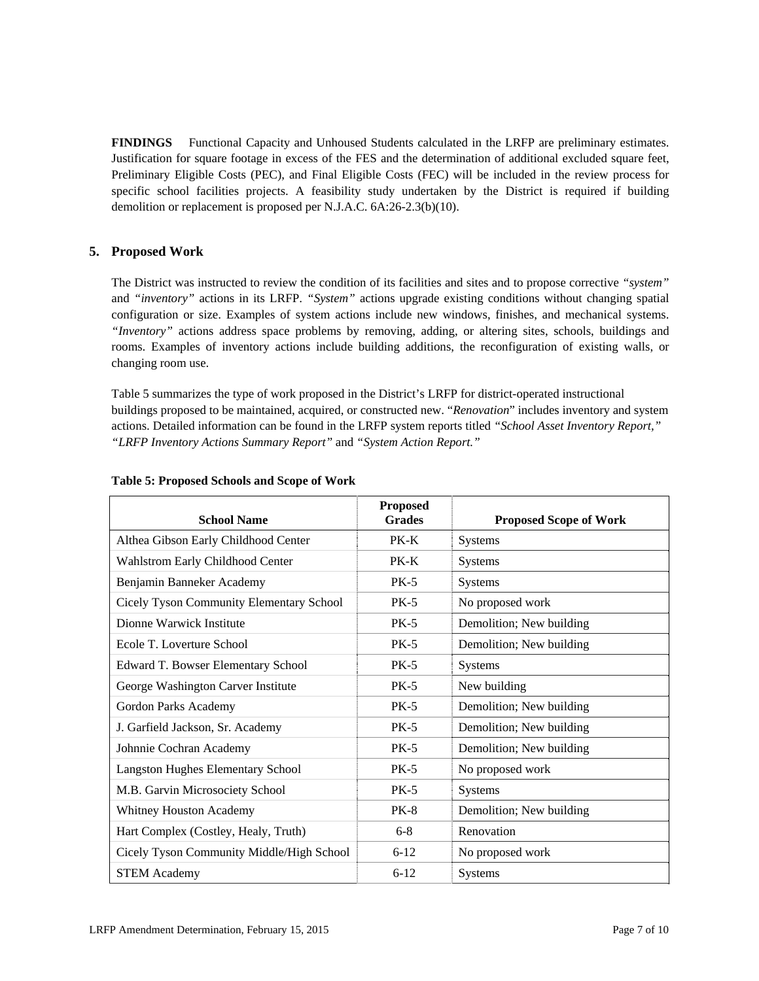**FINDINGS** Functional Capacity and Unhoused Students calculated in the LRFP are preliminary estimates. Justification for square footage in excess of the FES and the determination of additional excluded square feet, Preliminary Eligible Costs (PEC), and Final Eligible Costs (FEC) will be included in the review process for specific school facilities projects. A feasibility study undertaken by the District is required if building demolition or replacement is proposed per N.J.A.C. 6A:26-2.3(b)(10).

## **5. Proposed Work**

The District was instructed to review the condition of its facilities and sites and to propose corrective *"system"* and *"inventory"* actions in its LRFP. *"System"* actions upgrade existing conditions without changing spatial configuration or size. Examples of system actions include new windows, finishes, and mechanical systems. *"Inventory"* actions address space problems by removing, adding, or altering sites, schools, buildings and rooms. Examples of inventory actions include building additions, the reconfiguration of existing walls, or changing room use.

Table 5 summarizes the type of work proposed in the District's LRFP for district-operated instructional buildings proposed to be maintained, acquired, or constructed new. "*Renovation*" includes inventory and system actions. Detailed information can be found in the LRFP system reports titled *"School Asset Inventory Report," "LRFP Inventory Actions Summary Report"* and *"System Action Report."*

| <b>School Name</b>                        | <b>Proposed</b><br><b>Grades</b> | <b>Proposed Scope of Work</b> |
|-------------------------------------------|----------------------------------|-------------------------------|
| Althea Gibson Early Childhood Center      | $PK-K$                           | <b>Systems</b>                |
| Wahlstrom Early Childhood Center          | $PK-K$                           | <b>Systems</b>                |
| Benjamin Banneker Academy                 | $PK-5$                           | Systems                       |
| Cicely Tyson Community Elementary School  | $PK-5$                           | No proposed work              |
| Dionne Warwick Institute                  | $PK-5$                           | Demolition; New building      |
| Ecole T. Loverture School                 | $PK-5$                           | Demolition; New building      |
| Edward T. Bowser Elementary School        | $PK-5$                           | <b>Systems</b>                |
| George Washington Carver Institute        | $PK-5$                           | New building                  |
| Gordon Parks Academy                      | $PK-5$                           | Demolition; New building      |
| J. Garfield Jackson, Sr. Academy          | $PK-5$                           | Demolition; New building      |
| Johnnie Cochran Academy                   | $PK-5$                           | Demolition; New building      |
| <b>Langston Hughes Elementary School</b>  | $PK-5$                           | No proposed work              |
| M.B. Garvin Microsociety School           | $PK-5$                           | Systems                       |
| <b>Whitney Houston Academy</b>            | <b>PK-8</b>                      | Demolition; New building      |
| Hart Complex (Costley, Healy, Truth)      | $6 - 8$                          | Renovation                    |
| Cicely Tyson Community Middle/High School | $6 - 12$                         | No proposed work              |
| <b>STEM Academy</b>                       | $6 - 12$                         | Systems                       |

#### **Table 5: Proposed Schools and Scope of Work**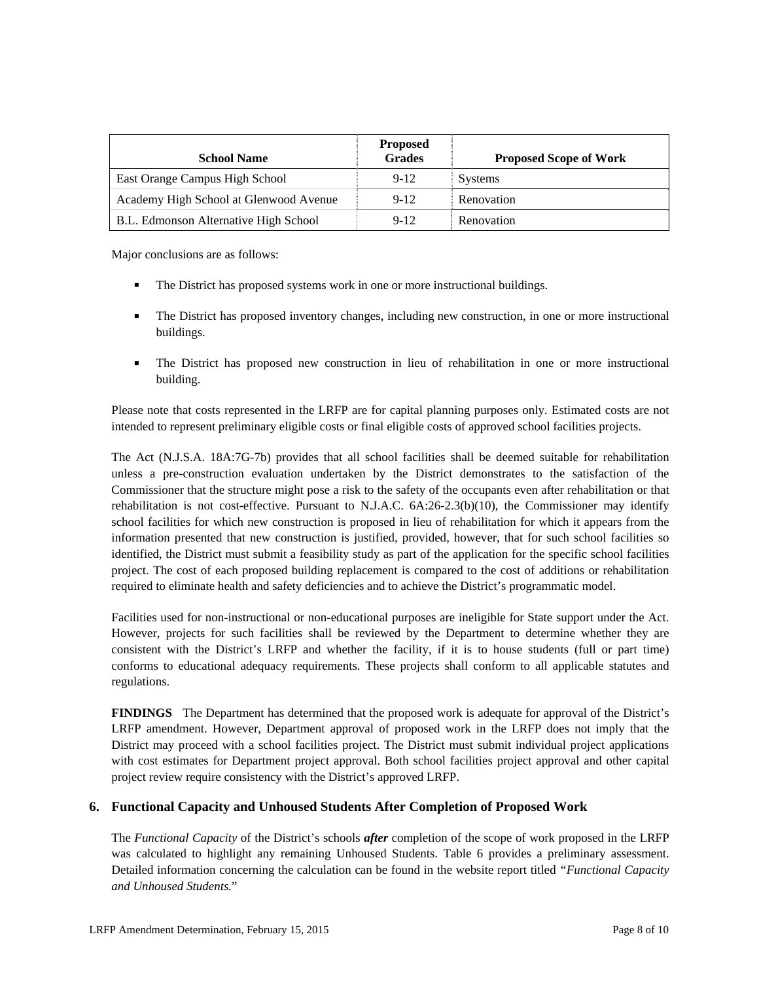| <b>School Name</b>                     | <b>Proposed</b><br><b>Grades</b> | <b>Proposed Scope of Work</b> |
|----------------------------------------|----------------------------------|-------------------------------|
| East Orange Campus High School         | $9 - 12$                         | <b>Systems</b>                |
| Academy High School at Glenwood Avenue | $9-12$                           | Renovation                    |
| B.L. Edmonson Alternative High School  | $9-12$                           | Renovation                    |

Major conclusions are as follows:

- The District has proposed systems work in one or more instructional buildings.
- The District has proposed inventory changes, including new construction, in one or more instructional buildings.
- The District has proposed new construction in lieu of rehabilitation in one or more instructional building.

Please note that costs represented in the LRFP are for capital planning purposes only. Estimated costs are not intended to represent preliminary eligible costs or final eligible costs of approved school facilities projects.

The Act (N.J.S.A. 18A:7G-7b) provides that all school facilities shall be deemed suitable for rehabilitation unless a pre-construction evaluation undertaken by the District demonstrates to the satisfaction of the Commissioner that the structure might pose a risk to the safety of the occupants even after rehabilitation or that rehabilitation is not cost-effective. Pursuant to N.J.A.C. 6A:26-2.3(b)(10), the Commissioner may identify school facilities for which new construction is proposed in lieu of rehabilitation for which it appears from the information presented that new construction is justified, provided, however, that for such school facilities so identified, the District must submit a feasibility study as part of the application for the specific school facilities project. The cost of each proposed building replacement is compared to the cost of additions or rehabilitation required to eliminate health and safety deficiencies and to achieve the District's programmatic model.

Facilities used for non-instructional or non-educational purposes are ineligible for State support under the Act. However, projects for such facilities shall be reviewed by the Department to determine whether they are consistent with the District's LRFP and whether the facility, if it is to house students (full or part time) conforms to educational adequacy requirements. These projects shall conform to all applicable statutes and regulations.

**FINDINGS** The Department has determined that the proposed work is adequate for approval of the District's LRFP amendment. However, Department approval of proposed work in the LRFP does not imply that the District may proceed with a school facilities project. The District must submit individual project applications with cost estimates for Department project approval. Both school facilities project approval and other capital project review require consistency with the District's approved LRFP.

## **6. Functional Capacity and Unhoused Students After Completion of Proposed Work**

The *Functional Capacity* of the District's schools *after* completion of the scope of work proposed in the LRFP was calculated to highlight any remaining Unhoused Students. Table 6 provides a preliminary assessment. Detailed information concerning the calculation can be found in the website report titled *"Functional Capacity and Unhoused Students.*"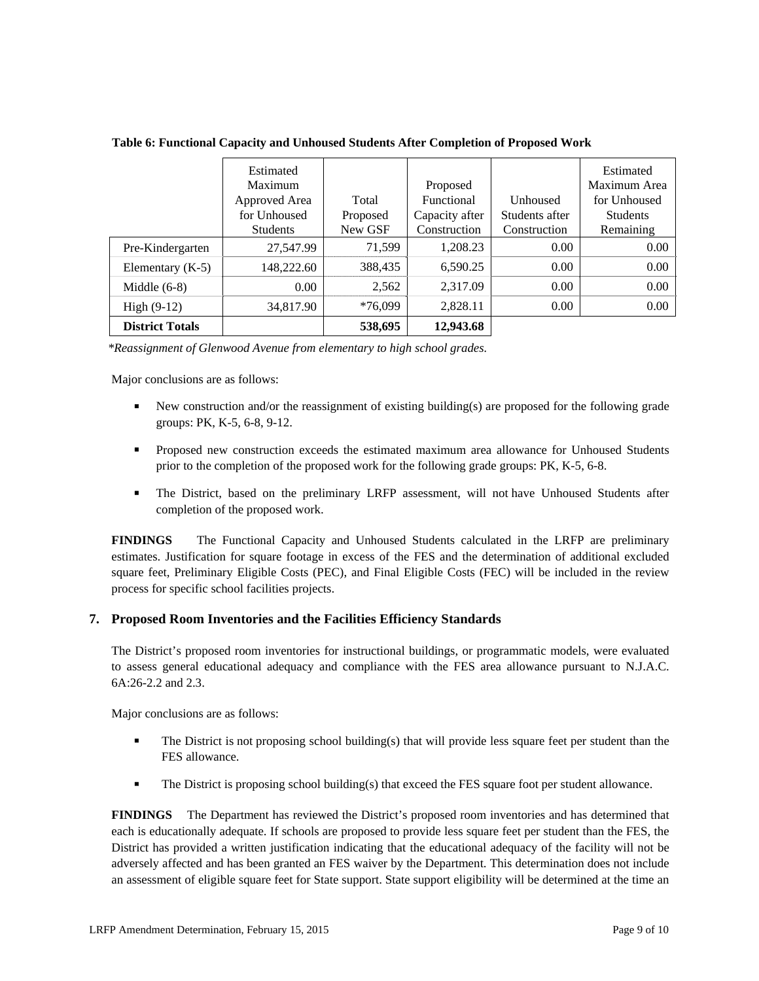**Table 6: Functional Capacity and Unhoused Students After Completion of Proposed Work** 

|                        | Estimated       |           |                |                 | Estimated       |
|------------------------|-----------------|-----------|----------------|-----------------|-----------------|
|                        | Maximum         |           | Proposed       |                 | Maximum Area    |
|                        | Approved Area   | Total     | Functional     | <b>Unhoused</b> | for Unhoused    |
|                        | for Unhoused    | Proposed  | Capacity after | Students after  | <b>Students</b> |
|                        | <b>Students</b> | New GSF   | Construction   | Construction    | Remaining       |
| Pre-Kindergarten       | 27,547.99       | 71.599    | 1,208.23       | 0.00            | 0.00            |
| Elementary $(K-5)$     | 148,222.60      | 388,435   | 6,590.25       | 0.00            | 0.00            |
| Middle $(6-8)$         | 0.00            | 2,562     | 2,317.09       | 0.00            | 0.00            |
| High $(9-12)$          | 34,817.90       | $*76.099$ | 2,828.11       | 0.00            | 0.00            |
| <b>District Totals</b> |                 | 538,695   | 12,943.68      |                 |                 |

 *\*Reassignment of Glenwood Avenue from elementary to high school grades.* 

Major conclusions are as follows:

- New construction and/or the reassignment of existing building(s) are proposed for the following grade groups: PK, K-5, 6-8, 9-12.
- **Proposed new construction exceeds the estimated maximum area allowance for Unhoused Students** prior to the completion of the proposed work for the following grade groups: PK, K-5, 6-8.
- The District, based on the preliminary LRFP assessment, will not have Unhoused Students after completion of the proposed work.

**FINDINGS** The Functional Capacity and Unhoused Students calculated in the LRFP are preliminary estimates. Justification for square footage in excess of the FES and the determination of additional excluded square feet, Preliminary Eligible Costs (PEC), and Final Eligible Costs (FEC) will be included in the review process for specific school facilities projects.

## **7. Proposed Room Inventories and the Facilities Efficiency Standards**

The District's proposed room inventories for instructional buildings, or programmatic models, were evaluated to assess general educational adequacy and compliance with the FES area allowance pursuant to N.J.A.C. 6A:26-2.2 and 2.3.

Major conclusions are as follows:

- **The District is not proposing school building(s) that will provide less square feet per student than the** FES allowance.
- The District is proposing school building(s) that exceed the FES square foot per student allowance.

**FINDINGS** The Department has reviewed the District's proposed room inventories and has determined that each is educationally adequate. If schools are proposed to provide less square feet per student than the FES, the District has provided a written justification indicating that the educational adequacy of the facility will not be adversely affected and has been granted an FES waiver by the Department. This determination does not include an assessment of eligible square feet for State support. State support eligibility will be determined at the time an